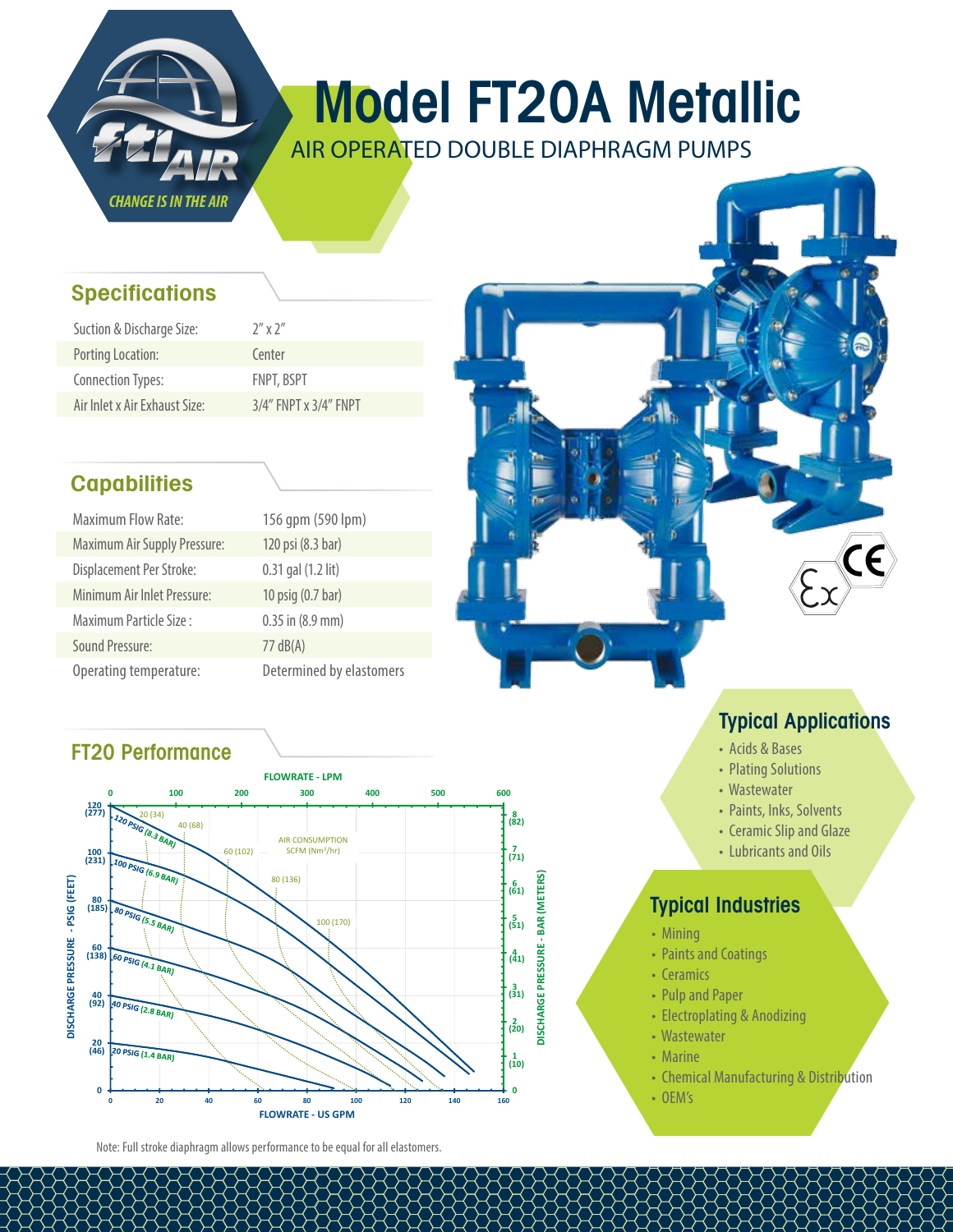

# Model FT20A Metallic

AIR OPERATED DOUBLE DIAPHRAGM PUMPS

#### **Specifications**

| Suction & Discharge Size:     | $7''$ x $2''$               |
|-------------------------------|-----------------------------|
| Porting Location:             | Center                      |
| <b>Connection Types:</b>      | <b>FNPT, BSPT</b>           |
| Air Inlet x Air Exhaust Size: | $3/4''$ FNPT x $3/4''$ FNPT |

### **Capabilities**

| <b>Maximum Flow Rate:</b>           | 156 qpm (590 lpm)        |
|-------------------------------------|--------------------------|
| <b>Maximum Air Supply Pressure:</b> | 120 psi (8.3 bar)        |
| Displacement Per Stroke:            | 0.31 gal (1.2 lit)       |
| Minimum Air Inlet Pressure:         | 10 psig (0.7 bar)        |
| Maximum Particle Size:              | $0.35$ in $(8.9$ mm)     |
| <b>Sound Pressure:</b>              | 77 dB(A)                 |
| Operating temperature:              | Determined by elastomers |

### FT20 Performance



Note: Full stroke diaphragm allows performance to be equal for all elastomers.

## Typical Applications

- Acids & Bases
- Plating Solutions
- Wastewater
- Paints, Inks, Solvents
- Ceramic Slip and Glaze
- Lubricants and Oils

#### Typical Industries

- Mining
- Paints and Coatings
- Ceramics
- Pulp and Paper
- Electroplating & Anodizing
- Wastewater
- Marine
- Chemical Manufacturing & Distribution
- OEM's